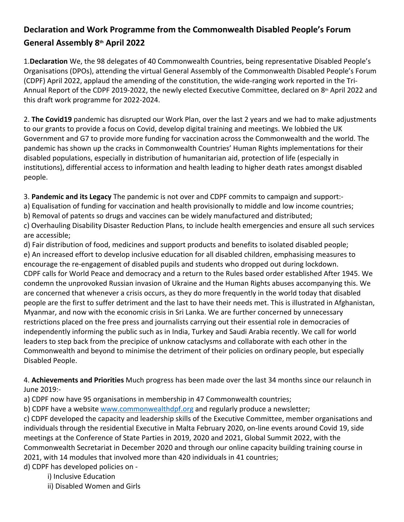## **Declaration and Work Programme from the Commonwealth Disabled People's Forum General Assembly 8th April 2022**

1.**Declaration** We, the 98 delegates of 40 Commonwealth Countries, being representative Disabled People's Organisations (DPOs), attending the virtual General Assembly of the Commonwealth Disabled People's Forum (CDPF) April 2022, applaud the amending of the constitution, the wide-ranging work reported in the Tri-Annual Report of the CDPF 2019-2022, the newly elected Executive Committee, declared on 8th April 2022 and this draft work programme for 2022-2024.

2. **The Covid19** pandemic has disrupted our Work Plan, over the last 2 years and we had to make adjustments to our grants to provide a focus on Covid, develop digital training and meetings. We lobbied the UK Government and G7 to provide more funding for vaccination across the Commonwealth and the world. The pandemic has shown up the cracks in Commonwealth Countries' Human Rights implementations for their disabled populations, especially in distribution of humanitarian aid, protection of life (especially in institutions), differential access to information and health leading to higher death rates amongst disabled people.

3. **Pandemic and its Legacy** The pandemic is not over and CDPF commits to campaign and support:-

a) Equalisation of funding for vaccination and health provisionally to middle and low income countries;

b) Removal of patents so drugs and vaccines can be widely manufactured and distributed;

c) Overhauling Disability Disaster Reduction Plans, to include health emergencies and ensure all such services are accessible;

d) Fair distribution of food, medicines and support products and benefits to isolated disabled people; e) An increased effort to develop inclusive education for all disabled children, emphasising measures to encourage the re-engagement of disabled pupils and students who dropped out during lockdown. CDPF calls for World Peace and democracy and a return to the Rules based order established After 1945. We condemn the unprovoked Russian invasion of Ukraine and the Human Rights abuses accompanying this. We are concerned that whenever a crisis occurs, as they do more frequently in the world today that disabled people are the first to suffer detriment and the last to have their needs met. This is illustrated in Afghanistan, Myanmar, and now with the economic crisis in Sri Lanka. We are further concerned by unnecessary restrictions placed on the free press and journalists carrying out their essential role in democracies of independently informing the public such as in India, Turkey and Saudi Arabia recently. We call for world leaders to step back from the precipice of unknow cataclysms and collaborate with each other in the Commonwealth and beyond to minimise the detriment of their policies on ordinary people, but especially Disabled People.

4. **Achievements and Priorities** Much progress has been made over the last 34 months since our relaunch in June 2019:-

a) CDPF now have 95 organisations in membership in 47 Commonwealth countries;

b) CDPF have a website [www.commonwealthdpf.org](http://www.commonwealthdpf.org) and regularly produce a newsletter;

c) CDPF developed the capacity and leadership skills of the Executive Committee, member organisations and individuals through the residential Executive in Malta February 2020, on-line events around Covid 19, side meetings at the Conference of State Parties in 2019, 2020 and 2021, Global Summit 2022, with the Commonwealth Secretariat in December 2020 and through our online capacity building training course in 2021, with 14 modules that involved more than 420 individuals in 41 countries;

d) CDPF has developed policies on -

i) Inclusive Education

ii) Disabled Women and Girls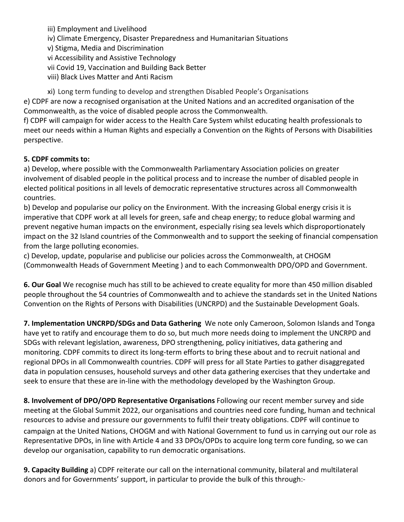iii) Employment and Livelihood

- iv) Climate Emergency, Disaster Preparedness and Humanitarian Situations
- v) Stigma, Media and Discrimination
- vi Accessibility and Assistive Technology
- vii Covid 19, Vaccination and Building Back Better
- viii) Black Lives Matter and Anti Racism

xi) Long term funding to develop and strengthen Disabled People's Organisations e) CDPF are now a recognised organisation at the United Nations and an accredited organisation of the Commonwealth, as the voice of disabled people across the Commonwealth.

f) CDPF will campaign for wider access to the Health Care System whilst educating health professionals to meet our needs within a Human Rights and especially a Convention on the Rights of Persons with Disabilities perspective.

## **5. CDPF commits to:**

a) Develop, where possible with the Commonwealth Parliamentary Association policies on greater involvement of disabled people in the political process and to increase the number of disabled people in elected political positions in all levels of democratic representative structures across all Commonwealth countries.

b) Develop and popularise our policy on the Environment. With the increasing Global energy crisis it is imperative that CDPF work at all levels for green, safe and cheap energy; to reduce global warming and prevent negative human impacts on the environment, especially rising sea levels which disproportionately impact on the 32 Island countries of the Commonwealth and to support the seeking of financial compensation from the large polluting economies.

c) Develop, update, popularise and publicise our policies across the Commonwealth, at CHOGM (Commonwealth Heads of Government Meeting ) and to each Commonwealth DPO/OPD and Government.

**6. Our Goal** We recognise much has still to be achieved to create equality for more than 450 million disabled people throughout the 54 countries of Commonwealth and to achieve the standards set in the United Nations Convention on the Rights of Persons with Disabilities (UNCRPD) and the Sustainable Development Goals.

**7. Implementation UNCRPD/SDGs and Data Gathering** We note only Cameroon, Solomon Islands and Tonga have yet to ratify and encourage them to do so, but much more needs doing to implement the UNCRPD and SDGs with relevant legislation, awareness, DPO strengthening, policy initiatives, data gathering and monitoring. CDPF commits to direct its long-term efforts to bring these about and to recruit national and regional DPOs in all Commonwealth countries. CDPF will press for all State Parties to gather disaggregated data in population censuses, household surveys and other data gathering exercises that they undertake and seek to ensure that these are in-line with the methodology developed by the Washington Group.

**8. Involvement of DPO/OPD Representative Organisations** Following our recent member survey and side meeting at the Global Summit 2022, our organisations and countries need core funding, human and technical resources to advise and pressure our governments to fulfil their treaty obligations. CDPF will continue to campaign at the United Nations, CHOGM and with National Government to fund us in carrying out our role as Representative DPOs, in line with Article 4 and 33 DPOs/OPDs to acquire long term core funding, so we can develop our organisation, capability to run democratic organisations.

**9. Capacity Building** a) CDPF reiterate our call on the international community, bilateral and multilateral donors and for Governments' support, in particular to provide the bulk of this through:-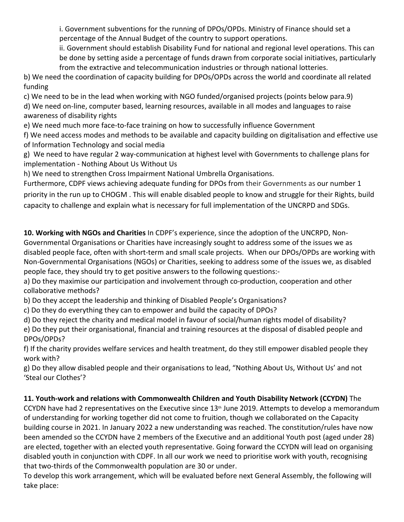i. Government subventions for the running of DPOs/OPDs. Ministry of Finance should set a percentage of the Annual Budget of the country to support operations.

ii. Government should establish Disability Fund for national and regional level operations. This can be done by setting aside a percentage of funds drawn from corporate social initiatives, particularly from the extractive and telecommunication industries or through national lotteries.

b) We need the coordination of capacity building for DPOs/OPDs across the world and coordinate all related funding

c) We need to be in the lead when working with NGO funded/organised projects (points below para.9)

d) We need on-line, computer based, learning resources, available in all modes and languages to raise awareness of disability rights

e) We need much more face-to-face training on how to successfully influence Government

f) We need access modes and methods to be available and capacity building on digitalisation and effective use of Information Technology and social media

g) We need to have regular 2 way-communication at highest level with Governments to challenge plans for implementation - Nothing About Us Without Us

h) We need to strengthen Cross Impairment National Umbrella Organisations.

Furthermore, CDPF views achieving adequate funding for DPOs from their Governments as our number 1 priority in the run up to CHOGM . This will enable disabled people to know and struggle for their Rights, build capacity to challenge and explain what is necessary for full implementation of the UNCRPD and SDGs.

**10. Working with NGOs and Charities** In CDPF's experience, since the adoption of the UNCRPD, Non-Governmental Organisations or Charities have increasingly sought to address some of the issues we as disabled people face, often with short-term and small scale projects. When our DPOs/OPDs are working with Non-Governmental Organisations (NGOs) or Charities, seeking to address some of the issues we, as disabled people face, they should try to get positive answers to the following questions:-

a) Do they maximise our participation and involvement through co-production, cooperation and other collaborative methods?

b) Do they accept the leadership and thinking of Disabled People's Organisations?

c) Do they do everything they can to empower and build the capacity of DPOs?

d) Do they reject the charity and medical model in favour of social/human rights model of disability? e) Do they put their organisational, financial and training resources at the disposal of disabled people and DPOs/OPDs?

f) If the charity provides welfare services and health treatment, do they still empower disabled people they work with?

g) Do they allow disabled people and their organisations to lead, "Nothing About Us, Without Us' and not 'Steal our Clothes'?

## **11. Youth-work and relations with Commonwealth Children and Youth Disability Network (CCYDN)** The

CCYDN have had 2 representatives on the Executive since  $13<sup>th</sup>$  June 2019. Attempts to develop a memorandum of understanding for working together did not come to fruition, though we collaborated on the Capacity building course in 2021. In January 2022 a new understanding was reached. The constitution/rules have now been amended so the CCYDN have 2 members of the Executive and an additional Youth post (aged under 28) are elected, together with an elected youth representative. Going forward the CCYDN will lead on organising disabled youth in conjunction with CDPF. In all our work we need to prioritise work with youth, recognising that two-thirds of the Commonwealth population are 30 or under.

To develop this work arrangement, which will be evaluated before next General Assembly, the following will take place: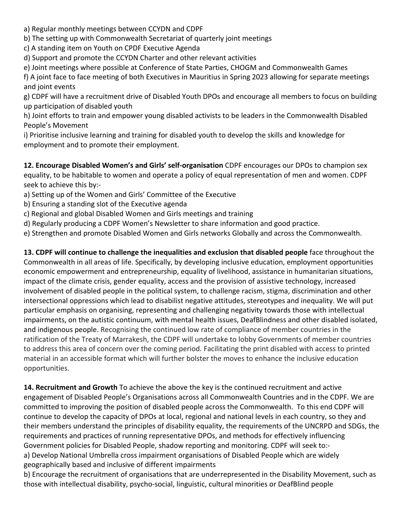a) Regular monthly meetings between CCYDN and CDPF

b) The setting up with Commonwealth Secretariat of quarterly joint meetings

c) A standing item on Youth on CPDF Executive Agenda

d) Support and promote the CCYDN Charter and other relevant activities

e) Joint meetings where possible at Conference of State Parties, CHOGM and Commonwealth Games

f) A joint face to face meeting of both Executives in Mauritius in Spring 2023 allowing for separate meetings and joint events

g) CDPF will have a recruitment drive of Disabled Youth DPOs and encourage all members to focus on building up participation of disabled youth

h) Joint efforts to train and empower young disabled activists to be leaders in the Commonwealth Disabled People's Movement

i) Prioritise inclusive learning and training for disabled youth to develop the skills and knowledge for employment and to promote their employment.

**12. Encourage Disabled Women's and Girls' self-organisation** CDPF encourages our DPOs to champion sex equality, to be habitable to women and operate a policy of equal representation of men and women. CDPF seek to achieve this by:-

- a) Setting up of the Women and Girls' Committee of the Executive
- b) Ensuring a standing slot of the Executive agenda

c) Regional and global Disabled Women and Girls meetings and training

d) Regularly producing a CDPF Women's Newsletter to share information and good practice.

e) Strengthen and promote Disabled Women and Girls networks Globally and across the Commonwealth.

**13. CDPF will continue to challenge the inequalities and exclusion that disabled people** face throughout the Commonwealth in all areas of life. Specifically, by developing inclusive education, employment opportunities economic empowerment and entrepreneurship, equality of livelihood, assistance in humanitarian situations, impact of the climate crisis, gender equality, access and the provision of assistive technology, increased involvement of disabled people in the political system, to challenge racism, stigma, discrimination and other intersectional oppressions which lead to disabilist negative attitudes, stereotypes and inequality. We will put particular emphasis on organising, representing and challenging negativity towards those with intellectual impairments, on the autistic continuum, with mental health issues, DeafBlindness and other disabled isolated, and indigenous people. Recognising the continued low rate of compliance of member countries in the ratification of the Treaty of Marrakesh, the CDPF will undertake to lobby Governments of member countries to address this area of concern over the coming period. Facilitating the print disabled with access to printed material in an accessible format which will further bolster the moves to enhance the inclusive education opportunities.

**14. Recruitment and Growth** To achieve the above the key is the continued recruitment and active engagement of Disabled People's Organisations across all Commonwealth Countries and in the CDPF. We are committed to improving the position of disabled people across the Commonwealth. To this end CDPF will continue to develop the capacity of DPOs at local, regional and national levels in each country, so they and their members understand the principles of disability equality, the requirements of the UNCRPD and SDGs, the requirements and practices of running representative DPOs, and methods for effectively influencing Government policies for Disabled People, shadow reporting and monitoring. CDPF will seek to: a) Develop National Umbrella cross impairment organisations of Disabled People which are widely geographically based and inclusive of different impairments

b) Encourage the recruitment of organisations that are underrepresented in the Disability Movement, such as those with intellectual disability, psycho-social, linguistic, cultural minorities or DeafBlind people